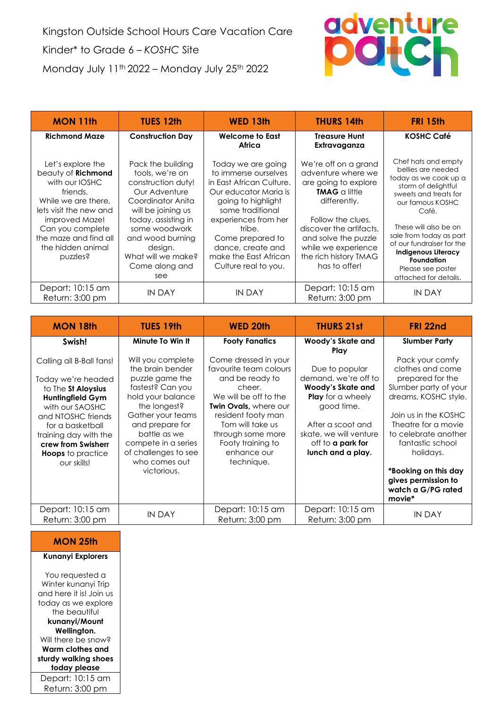Kingston Outside School Hours Care Vacation Care Kinder\* to Grade 6 – *KOSHC* Site Monday July 11th 2022 – Monday July 25th 2022



| <b>MON 11th</b>                                                                                                                                                                                                        | <b>TUES 12th</b>                                                                                                                                                                                                                             | <b>WED 13th</b>                                                                                                                                                                                                                                                       | <b>THURS 14th</b>                                                                                                                                                                                                                                   | <b>FRI 15th</b>                                                                                                                                                                                                                                                                                                                   |
|------------------------------------------------------------------------------------------------------------------------------------------------------------------------------------------------------------------------|----------------------------------------------------------------------------------------------------------------------------------------------------------------------------------------------------------------------------------------------|-----------------------------------------------------------------------------------------------------------------------------------------------------------------------------------------------------------------------------------------------------------------------|-----------------------------------------------------------------------------------------------------------------------------------------------------------------------------------------------------------------------------------------------------|-----------------------------------------------------------------------------------------------------------------------------------------------------------------------------------------------------------------------------------------------------------------------------------------------------------------------------------|
| <b>Richmond Maze</b>                                                                                                                                                                                                   | <b>Construction Day</b>                                                                                                                                                                                                                      | <b>Welcome to East</b><br>Africa                                                                                                                                                                                                                                      | <b>Treasure Hunt</b><br>Extravaganza                                                                                                                                                                                                                | <b>KOSHC Café</b>                                                                                                                                                                                                                                                                                                                 |
| Let's explore the<br>beauty of Richmond<br>with our IOSHC<br>friends.<br>While we are there.<br>lets visit the new and<br>improved Maze!<br>Can you complete<br>the maze and find all<br>the hidden animal<br>puzzles? | Pack the building<br>tools, we're on<br>construction duty!<br>Our Adventure<br>Coordinator Anita<br>will be joining us<br>today, assisting in<br>some woodwork<br>and wood burning<br>design.<br>What will we make?<br>Come along and<br>see | Today we are going<br>to immerse ourselves<br>in East African Culture.<br>Our educator Maria is<br>going to highlight<br>some traditional<br>experiences from her<br>tribe.<br>Come prepared to<br>dance, create and<br>make the East African<br>Culture real to you. | We're off on a grand<br>adventure where we<br>are going to explore<br><b>TMAG</b> a little<br>differently.<br>Follow the clues,<br>discover the artifacts.<br>and solve the puzzle<br>while we experience<br>the rich history TMAG<br>has to offer! | Chef hats and empty<br>bellies are needed<br>today as we cook up a<br>storm of delightful<br>sweets and treats for<br>our famous KOSHC<br>Café.<br>These will also be on<br>sale from today as part<br>of our fundraiser for the<br><b>Indigenous Literacy</b><br><b>Foundation</b><br>Please see poster<br>attached for details. |
| Depart: 10:15 am<br>Return: 3:00 pm                                                                                                                                                                                    | IN DAY                                                                                                                                                                                                                                       | IN DAY                                                                                                                                                                                                                                                                | Depart: 10:15 am<br>Return: 3:00 pm                                                                                                                                                                                                                 | IN DAY                                                                                                                                                                                                                                                                                                                            |

| <b>MON 18th</b>                                                                                                                                                                                                                                        | <b>TUES 19th</b>                                                                                                                                                                                                                                         | WED 20th                                                                                                                                                                                                                                              | <b>THURS 21st</b>                                                                                                                                                                                             | FRI 22nd                                                                                                                                                                                                                                                                                        |
|--------------------------------------------------------------------------------------------------------------------------------------------------------------------------------------------------------------------------------------------------------|----------------------------------------------------------------------------------------------------------------------------------------------------------------------------------------------------------------------------------------------------------|-------------------------------------------------------------------------------------------------------------------------------------------------------------------------------------------------------------------------------------------------------|---------------------------------------------------------------------------------------------------------------------------------------------------------------------------------------------------------------|-------------------------------------------------------------------------------------------------------------------------------------------------------------------------------------------------------------------------------------------------------------------------------------------------|
| Swish!                                                                                                                                                                                                                                                 | Minute To Win It                                                                                                                                                                                                                                         | <b>Footy Fanatics</b>                                                                                                                                                                                                                                 | Woody's Skate and                                                                                                                                                                                             | <b>Slumber Party</b>                                                                                                                                                                                                                                                                            |
| Calling all B-Ball fans!<br>Today we're headed<br>to The St Aloysius<br><b>Huntingfield Gym</b><br>with our SAOSHC<br>and NTOSHC friends<br>for a basketball<br>training day with the<br>crew from Swisherr<br><b>Hoops</b> to practice<br>our skills! | Will you complete<br>the brain bender<br>puzzle game the<br>fastest? Can you<br>hold your balance<br>the longest?<br>Gather your teams<br>and prepare for<br>battle as we<br>compete in a series<br>of challenges to see<br>who comes out<br>victorious. | Come dressed in your<br>favourite team colours<br>and be ready to<br>cheer.<br>We will be off to the<br><b>Twin Ovals, where our</b><br>resident footy man<br>Tom will take us<br>through some more<br>Footy training to<br>enhance our<br>technique. | Play<br>Due to popular<br>demand, we're off to<br>Woody's Skate and<br><b>Play</b> for a wheely<br>good time.<br>After a scoot and<br>skate, we will venture<br>off to <b>a park for</b><br>lunch and a play. | Pack your comfy<br>clothes and come<br>prepared for the<br>Slumber party of your<br>dreams, KOSHC style.<br>Join us in the KOSHC<br>Theatre for a movie<br>to celebrate another<br>fantastic school<br>holidays.<br>*Booking on this day<br>gives permission to<br>watch a G/PG rated<br>movie* |
| Depart: 10:15 am<br>Return: 3:00 pm                                                                                                                                                                                                                    | IN DAY                                                                                                                                                                                                                                                   | Depart: 10:15 am<br>Return: 3:00 pm                                                                                                                                                                                                                   | Depart: 10:15 am<br>Return: 3:00 pm                                                                                                                                                                           | <b>IN DAY</b>                                                                                                                                                                                                                                                                                   |

**MON 25th**

**Kunanyi Explorers**

You requested a Winter kunanyi Trip and here it is! Join us today as we explore the beautiful **kunanyi/Mount Wellington.** Will there be snow? **Warm clothes and sturdy walking shoes today please** Depart: 10:15 am Return: 3:00 pm